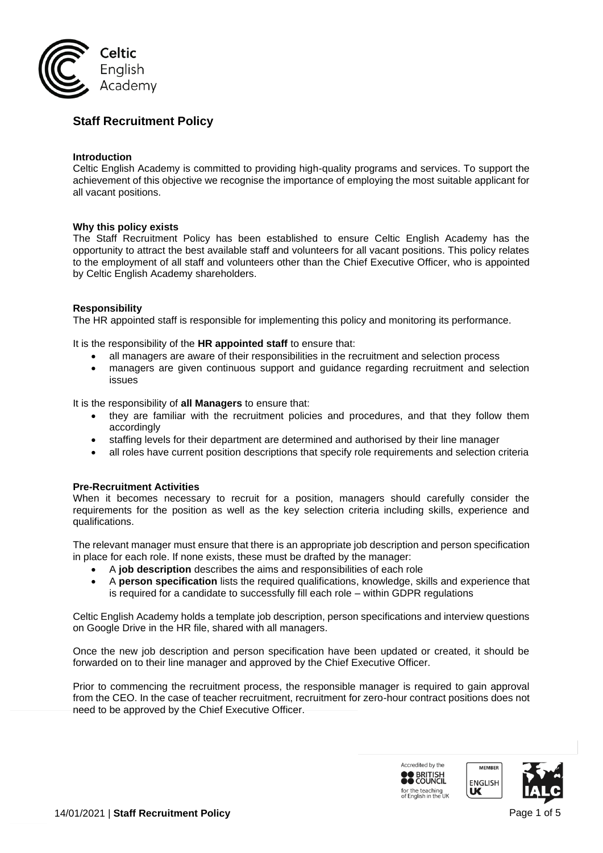

# **Staff Recruitment Policy**

### **Introduction**

Celtic English Academy is committed to providing high-quality programs and services. To support the achievement of this objective we recognise the importance of employing the most suitable applicant for all vacant positions.

### **Why this policy exists**

The Staff Recruitment Policy has been established to ensure Celtic English Academy has the opportunity to attract the best available staff and volunteers for all vacant positions. This policy relates to the employment of all staff and volunteers other than the Chief Executive Officer, who is appointed by Celtic English Academy shareholders.

### **Responsibility**

The HR appointed staff is responsible for implementing this policy and monitoring its performance.

It is the responsibility of the **HR appointed staff** to ensure that:

- all managers are aware of their responsibilities in the recruitment and selection process
- managers are given continuous support and guidance regarding recruitment and selection issues

It is the responsibility of **all Managers** to ensure that:

- they are familiar with the recruitment policies and procedures, and that they follow them accordingly
- staffing levels for their department are determined and authorised by their line manager
- all roles have current position descriptions that specify role requirements and selection criteria

#### **Pre-Recruitment Activities**

When it becomes necessary to recruit for a position, managers should carefully consider the requirements for the position as well as the key selection criteria including skills, experience and qualifications.

The relevant manager must ensure that there is an appropriate job description and person specification in place for each role. If none exists, these must be drafted by the manager:

- A **job description** describes the aims and responsibilities of each role
- A **person specification** lists the required qualifications, knowledge, skills and experience that is required for a candidate to successfully fill each role – within GDPR regulations

Celtic English Academy holds a template job description, person specifications and interview questions on Google Drive in the HR file, shared with all managers.

Once the new job description and person specification have been updated or created, it should be forwarded on to their line manager and approved by the Chief Executive Officer.

Prior to commencing the recruitment process, the responsible manager is required to gain approval from the CEO. In the case of teacher recruitment, recruitment for zero-hour contract positions does not need to be approved by the Chief Executive Officer.

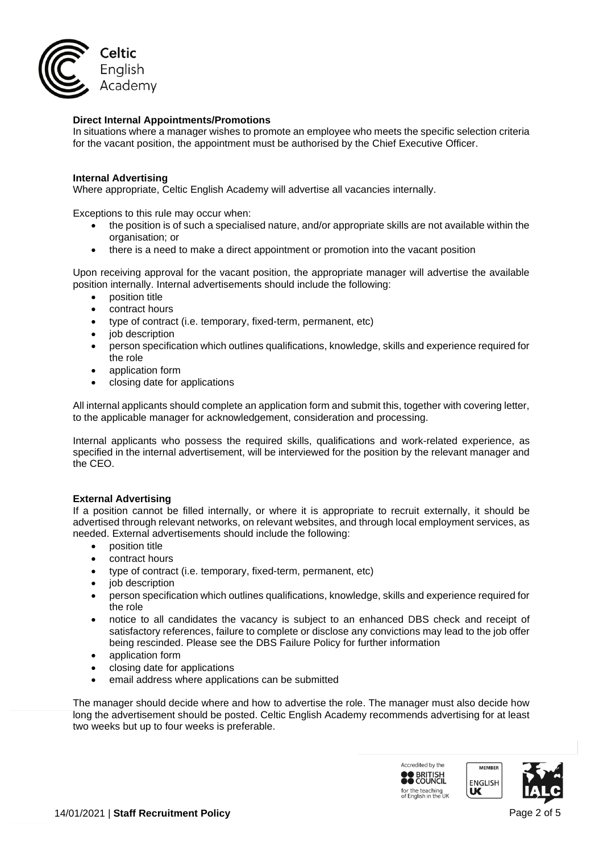

### **Direct Internal Appointments/Promotions**

In situations where a manager wishes to promote an employee who meets the specific selection criteria for the vacant position, the appointment must be authorised by the Chief Executive Officer.

#### **Internal Advertising**

Where appropriate, Celtic English Academy will advertise all vacancies internally.

Exceptions to this rule may occur when:

- the position is of such a specialised nature, and/or appropriate skills are not available within the organisation; or
- there is a need to make a direct appointment or promotion into the vacant position

Upon receiving approval for the vacant position, the appropriate manager will advertise the available position internally. Internal advertisements should include the following:

- position title
- contract hours
- type of contract (i.e. temporary, fixed-term, permanent, etc)
- job description
- person specification which outlines qualifications, knowledge, skills and experience required for the role
- application form
- closing date for applications

All internal applicants should complete an application form and submit this, together with covering letter, to the applicable manager for acknowledgement, consideration and processing.

Internal applicants who possess the required skills, qualifications and work-related experience, as specified in the internal advertisement, will be interviewed for the position by the relevant manager and the CEO.

#### **External Advertising**

If a position cannot be filled internally, or where it is appropriate to recruit externally, it should be advertised through relevant networks, on relevant websites, and through local employment services, as needed. External advertisements should include the following:

- position title
- contract hours
- type of contract (i.e. temporary, fixed-term, permanent, etc)
- iob description
- person specification which outlines qualifications, knowledge, skills and experience required for the role
- notice to all candidates the vacancy is subject to an enhanced DBS check and receipt of satisfactory references, failure to complete or disclose any convictions may lead to the job offer being rescinded. Please see the DBS Failure Policy for further information
- application form
- closing date for applications
- email address where applications can be submitted

The manager should decide where and how to advertise the role. The manager must also decide how long the advertisement should be posted. Celtic English Academy recommends advertising for at least two weeks but up to four weeks is preferable.

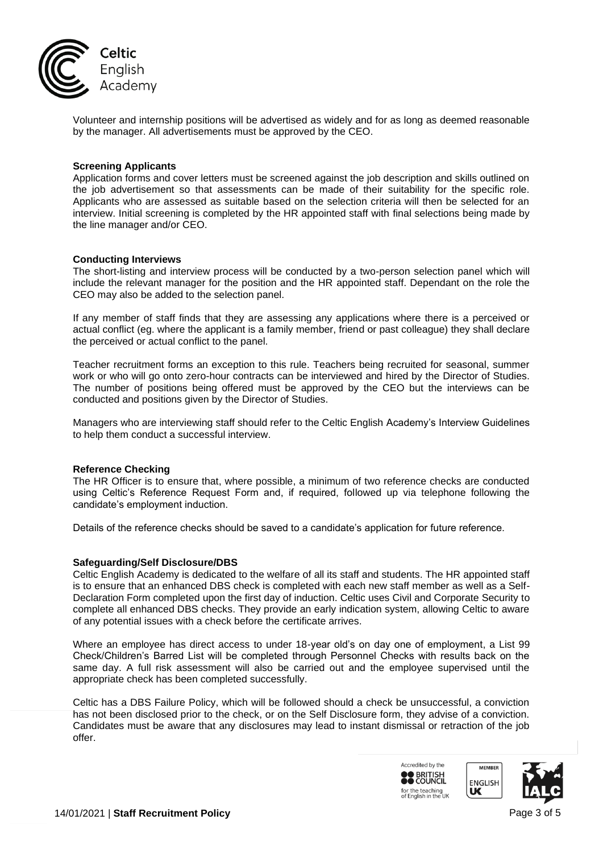

Volunteer and internship positions will be advertised as widely and for as long as deemed reasonable by the manager. All advertisements must be approved by the CEO.

#### **Screening Applicants**

Application forms and cover letters must be screened against the job description and skills outlined on the job advertisement so that assessments can be made of their suitability for the specific role. Applicants who are assessed as suitable based on the selection criteria will then be selected for an interview. Initial screening is completed by the HR appointed staff with final selections being made by the line manager and/or CEO.

#### **Conducting Interviews**

The short-listing and interview process will be conducted by a two-person selection panel which will include the relevant manager for the position and the HR appointed staff. Dependant on the role the CEO may also be added to the selection panel.

If any member of staff finds that they are assessing any applications where there is a perceived or actual conflict (eg. where the applicant is a family member, friend or past colleague) they shall declare the perceived or actual conflict to the panel.

Teacher recruitment forms an exception to this rule. Teachers being recruited for seasonal, summer work or who will go onto zero-hour contracts can be interviewed and hired by the Director of Studies. The number of positions being offered must be approved by the CEO but the interviews can be conducted and positions given by the Director of Studies.

Managers who are interviewing staff should refer to the Celtic English Academy's Interview Guidelines to help them conduct a successful interview.

#### **Reference Checking**

The HR Officer is to ensure that, where possible, a minimum of two reference checks are conducted using Celtic's Reference Request Form and, if required, followed up via telephone following the candidate's employment induction.

Details of the reference checks should be saved to a candidate's application for future reference.

## **Safeguarding/Self Disclosure/DBS**

Celtic English Academy is dedicated to the welfare of all its staff and students. The HR appointed staff is to ensure that an enhanced DBS check is completed with each new staff member as well as a Self-Declaration Form completed upon the first day of induction. Celtic uses Civil and Corporate Security to complete all enhanced DBS checks. They provide an early indication system, allowing Celtic to aware of any potential issues with a check before the certificate arrives.

Where an employee has direct access to under 18-year old's on day one of employment, a List 99 Check/Children's Barred List will be completed through Personnel Checks with results back on the same day. A full risk assessment will also be carried out and the employee supervised until the appropriate check has been completed successfully.

Celtic has a DBS Failure Policy, which will be followed should a check be unsuccessful, a conviction has not been disclosed prior to the check, or on the Self Disclosure form, they advise of a conviction. Candidates must be aware that any disclosures may lead to instant dismissal or retraction of the job offer.

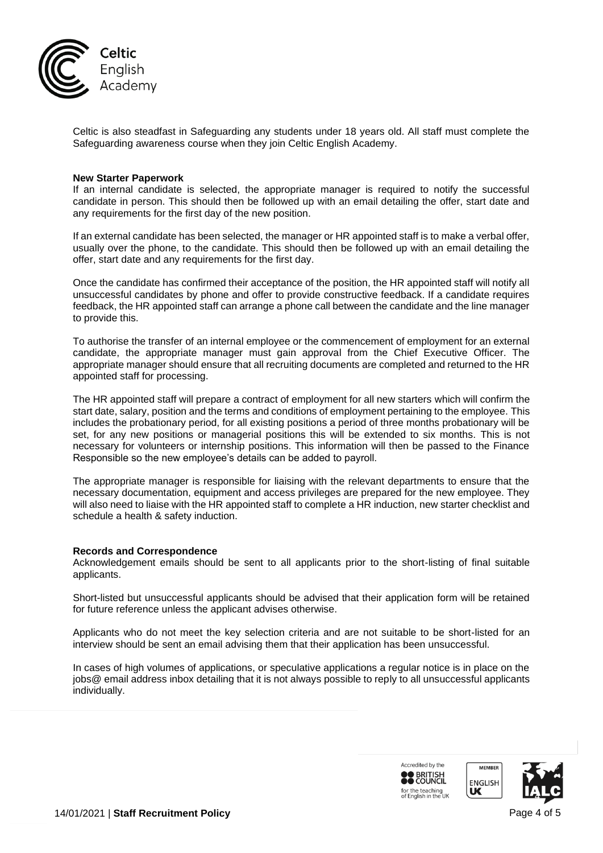

Celtic is also steadfast in Safeguarding any students under 18 years old. All staff must complete the Safeguarding awareness course when they join Celtic English Academy.

#### **New Starter Paperwork**

If an internal candidate is selected, the appropriate manager is required to notify the successful candidate in person. This should then be followed up with an email detailing the offer, start date and any requirements for the first day of the new position.

If an external candidate has been selected, the manager or HR appointed staff is to make a verbal offer, usually over the phone, to the candidate. This should then be followed up with an email detailing the offer, start date and any requirements for the first day.

Once the candidate has confirmed their acceptance of the position, the HR appointed staff will notify all unsuccessful candidates by phone and offer to provide constructive feedback. If a candidate requires feedback, the HR appointed staff can arrange a phone call between the candidate and the line manager to provide this.

To authorise the transfer of an internal employee or the commencement of employment for an external candidate, the appropriate manager must gain approval from the Chief Executive Officer. The appropriate manager should ensure that all recruiting documents are completed and returned to the HR appointed staff for processing.

The HR appointed staff will prepare a contract of employment for all new starters which will confirm the start date, salary, position and the terms and conditions of employment pertaining to the employee. This includes the probationary period, for all existing positions a period of three months probationary will be set, for any new positions or managerial positions this will be extended to six months. This is not necessary for volunteers or internship positions. This information will then be passed to the Finance Responsible so the new employee's details can be added to payroll.

The appropriate manager is responsible for liaising with the relevant departments to ensure that the necessary documentation, equipment and access privileges are prepared for the new employee. They will also need to liaise with the HR appointed staff to complete a HR induction, new starter checklist and schedule a health & safety induction.

#### **Records and Correspondence**

Acknowledgement emails should be sent to all applicants prior to the short-listing of final suitable applicants.

Short-listed but unsuccessful applicants should be advised that their application form will be retained for future reference unless the applicant advises otherwise.

Applicants who do not meet the key selection criteria and are not suitable to be short-listed for an interview should be sent an email advising them that their application has been unsuccessful.

In cases of high volumes of applications, or speculative applications a regular notice is in place on the jobs@ email address inbox detailing that it is not always possible to reply to all unsuccessful applicants individually.